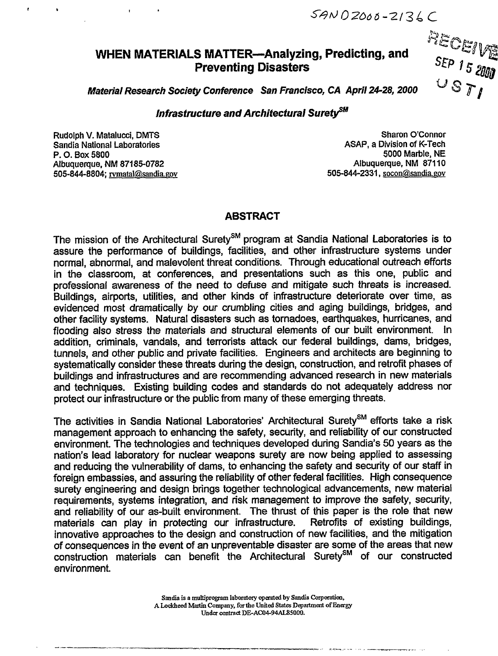$SANDZOO-2136C$ 

### **WHEN MATERIALS MATTER-Analyzing, Predicting, and -- Preventing Disasters**

 $F$ ECE<sub>IVE</sub>

**Material Research Society Conference** San Francisco, CA April 24-28, 2000

#### **Infrastructure and Architectural Surety**<sup>SM</sup>

**RudolphV. Matalucoi, DMTS Sharon OConnor Sandia National Laboratories ASAP, a Divisionof K-Tech P. O.** BOX **5800 5000 Marble, NE Albuquerque, NM 87185-0782 Albuquerque, NM 87110 505-844-8804 rvmatalf%andiagov 505-844-2331, socom%andiaxov**

c <sup>b</sup> <sup>1</sup>

#### **ABSTRACT**

The mission of the Architectural Surety<sup>sM</sup> program at Sandia National Laboratories is to assure the performance of buildings, facilities, and other infrastructure systems under normal, abnormal, and malevolent threat conditions. Through educational outreach efforts in the classroom, at conferences, and presentations such as this one, public and professional awareness of the need to defuse and mitigate such threats is increased. Buildings, airports, utilities, and other kinds of infrastructure deteriorate over time, as evidenced most dramatically by our crumbling cities and aging buildings, bridges, and other facility systems. Natural disasters such as tornadoes, earthquakes, hurricanes, and flooding also stress the materials and structural elements of our built environment. In addition, oriminals, vandals, and terrorists attack our federal buildings, dams, bridges, tunnels, and other public and private facilities. Engineers and architects are beginning to systematically consider these threats during the design, construction, and retrofit phases of buildings and infrastructures and are recommending advanced research in new materials and techniques. Existing building codes and standards do not adequately address nor protect our infrastructure or the public from many of these emerging threats.

The activities in Sandia National Laboratories' Architectural Surety<sup>SM</sup> efforts take a risk management approach to enhancing the safety, security, and reliability of our constructed environment. The technologies and techniques developed during Sandia's 50 years as the nation's iead laboratory for nuclear weapons surety are now being applied to assessing and reducing the vulnerability of dams, to enhancing the safety and security of our staff in foreign embassies, and assuring the reliability of other federal facilities. High consequence surety engineering and design brings together technological advancements, new materiai requirements, systems integration, and risk management to improve the safety, security, and reliability of our as-built environment. The thrust of this paper is the role that new<br>materials can play in protecting our infrastructure. Retrofits of existing buildings, materials can play in protecting our infrastructure. innovative approaches to the design and construction of new facilities, and the mitigation of consequences in the event of an unpreventable disaster are some of the areas that new construction materials can benefit the Architectural Surety<sup>sM</sup> of our constructed environment.

> Sandia is a multiprogram laboratory operated by Sandia Corporation, A Lockheed Martin Company, for the United States Department of Energy Under contract DE-AC04-94AL85000.

.— .——.\_ .—y ,- ------- --. \_\_\_\_, .. .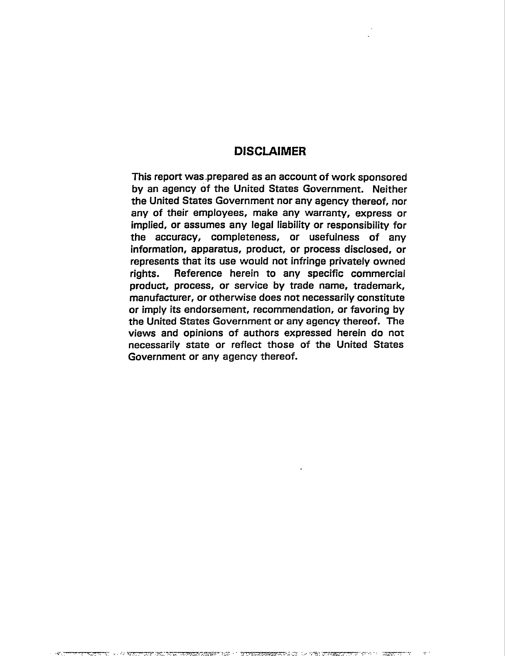#### DISCLAIMER

**This** report was prepared as an account of work sponsored **by an agency of** the United States Government. **Neither the** United States Government **nor any agency thereof, nor any of their employees, make any warranty, express or implied, or assumes any legal liability or responsibility for the accuracy, completeness, or usefulness of any information, apparatus, product, or process disclosed, or represents that its use would not infringe privately owned rights. Reference herein to any specific commercial product, process, or service by trade name, trademark, manufacturer, or otherwise does not necessarily constitute or imply its endorsement, recommendation, or favoring by the United States Government or any agency thereof. The views and opinions of authors expressed herein do not necessarily state or** reflect those of the United States Government or any agency thereof.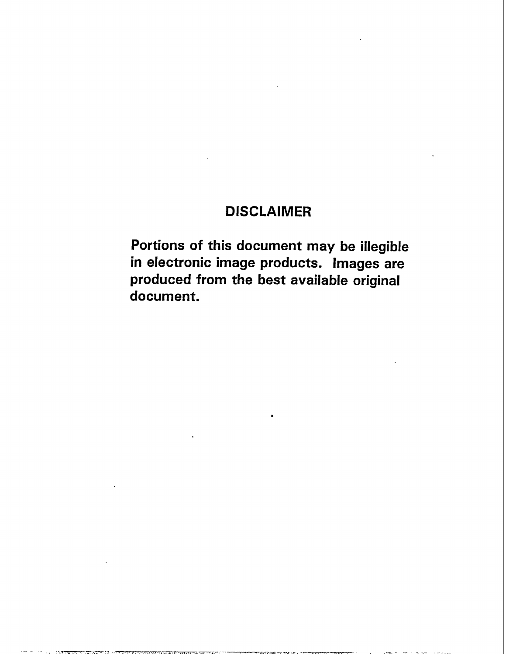## **DISCLAIMER**

Portions of this document may be illegible in electronic image products. Images are produced from the best available original document.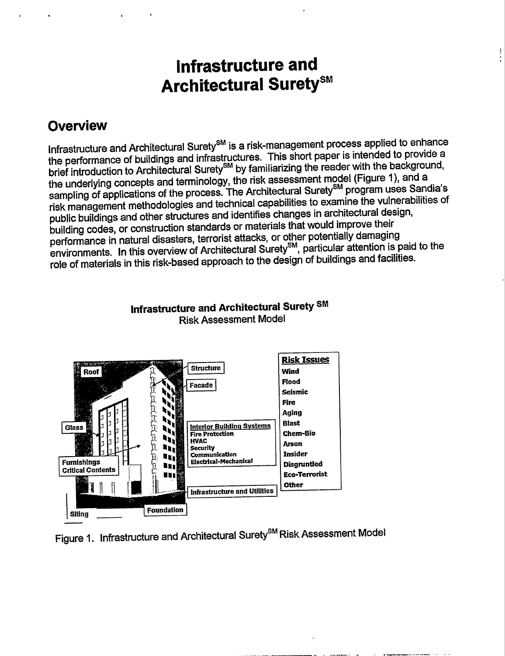# Infrastructure and **Architectural Surety<sup>sM</sup>**

## **Overview**

Infrastructure and Architectural Surety<sup>sM</sup> is a risk-management process applied to enhance the performance of buildings and infrastructures. This short paper is intended to provide a brief introduction to Architectural Surety<sup>SM</sup> by familiarizing the reader with the background, the underlying concepts and terminology, the risk assessment model (Figure 1), and a sampling of applications of the process. The Architectural Surety<sup>SM</sup> program uses Sandia's risk management methodologies and technical capabilities to examine the vulnerabilities of public buildings and other structures and identifies changes in architectural design, building codes, or construction standards or materials that would improve their performance in natural disasters, terrorist attacks, or other potentially damaging environments. In this overview of Architectural Surety<sup>SM</sup>, particular attention is paid to the role of materials in this risk-based approach to the design of buildings and facilities.



### Infrastructure and Architectural Surety SM **Risk Assessment Model**

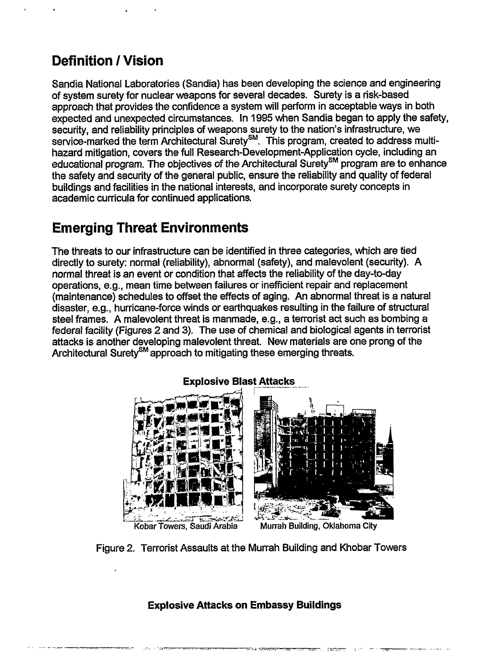## **Definition /Vision**

,

Sandia National Laboratories (Sandia) has been developing the science and engineering of system surety for nuclear weapons for several decades. Surety is a risk-based approach that provides the confidence a system will perform in acceptable ways in both expected and unexpected circumstances. In 1995 when Sandia began to apply the safety, security, and reliability principles of weapons surety to the nation's infrastructure, we service-marked the term Architectural Surety<sup>sM</sup>. This program, created to address multihazard mitigation, covers the full Research-Development-Application cycle, including an educational program. The objectives of the Architectural Surety<sup>SM</sup> program are to enhance the safety and security of the general public, ensure the reliability and quality of federal buildings and facilities in the national interests, and incorporate surety concepts in academic curricula for continued applications.

## **Emerging Threat Environments**

The threats to our infrastructure can be identified in three categories, which are tied directly to surety; normal (reliability), abnormal (safety), and malevolent (security). A normal threat is an event or condition that affects the reliability of the day-to-day operations, e.g., mean time between failures or inefficient repair and replacement (maintenance) schedules to offset the effects of aging. An abnormal threat is a natural disaster, e.g., hurricane-force winds or earthquakes resulting in the failure of structural steel frames. A malevolent threat is manmade, e.g., a terrorist act such as bombing a federal facility (Figures 2 and 3). The use of chemical and biological agents in terrorist attacks is another developing malevolent threat. New materials are one prong of the Architectural Surety<sup>SM</sup> approach to mitigating these emerging threats.



Figure 2. Terrorist Assaults at the Murrah Building and Khobar Towers

**Explosive Attacks on Embassy Buildings**

**. .. .**

**-- - ..,7-—. . . ....7 .,-...........,, ,,,.. .,,.., ,.+;,..;=-~,, . .,,>-,... .. . ;,?.-.7Y;--- \_—. \_,7. ------**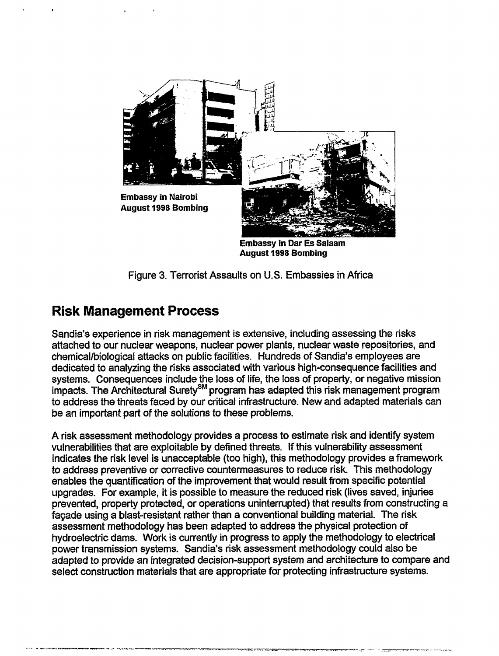

Figure 3. Terrorist Assaults on U.S. Embassies in Africa

### **Risk Management Process**

Sandia's experience in risk management is extensive, including assessing the risks attached to our nuclear weapons, nuclear power plants, nuclear waste repositories, and chemical/biological attacks on public facilities. Hundreds of Sandia's employees are dedicated to analyzing the risks associated with various high-consequence facilities and systems. Consequences include the loss of life, the loss of property, or negative mission impacts. The Architectural Surety<sup>sM</sup> program has adapted this risk management program to address the threats faced by our critical infrastructure. New and adapted materials can be an important part of the solutions to these problems.

A risk assessment methodology provides a process to estimate risk and identify system vulnerabilities that are exploitable by defined threats. If this vulnerability assessment indicates the risk level is unacceptable (too high), this methodology provides a framework to address preventive or corrective countermeasures to reduce risk. This methodology enables the quantification of the improvement that would result from specific potential upgrades. For example, it is possible to measure the reduced risk (lives saved, injuries prevented, property protected, or operations uninterrupted) that results from constructing a fagade using a blast-resistant rather than a conventional building material. The risk assessment methodology has been adapted to address the physical protection of hydroelectric dams. Work is currently in progress to apply the methodology to electrical power transmission systems. Sandia's risk assessment methodology could also be adapted to provide an integrated decision-support system and architecture to compare and select construction materials that are appropriate for protecting infrastructure systems.

- . . .---—. — - - ,, -..........—.-.. . . -m-.>.-.. ., -.,.,. ,. -,:- --- ,.. -7----- -------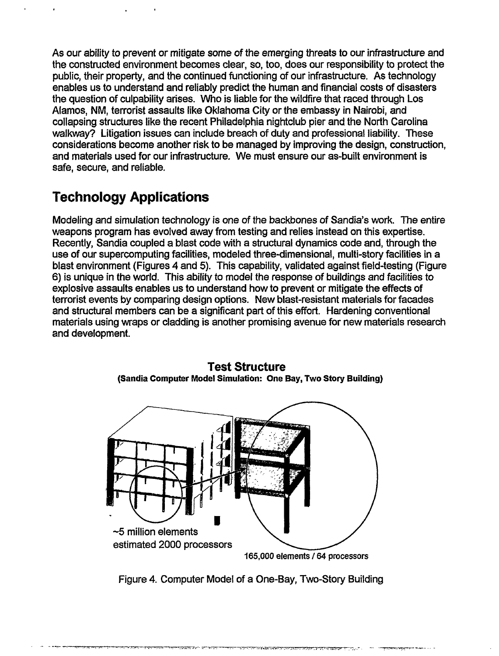As our ability to prevent or mitigate some of the emerging threats to our infrastructure and the constructed environment becomes clear, so, too, does our responsibility to protect the public, their property, and the continued functioning of our infrastructure. As technology enables us to understand and reliably predict the human and financial costs of disasters the question of culpability arises. Who is liable for the wildfire that raced through Los Alamos, NM, terrorist assaults like Oklahoma City or the embassy in Nairobi, **and** collapsing structures like the recent Philadelphia nightclub pier and the North Carolina walkway? Litigation issues can include breach of duty and professional liability. These considerations become another risk to be managed by improving the design, construction, and materials used for our infrastructure. We must ensure our as-built environment is safe, secure, and reliable.

## **Technology Applications**

Modeling and simulation technology is one of the backbones of Sandia's work. The entire weapons program has evolved away from testing and relies instead on this expertise. Recently, Sandia coupled a blast code with a structural dynamics code and, through the use of our supercomputing facilities, modeled three-dimensional, multi-story facilities in a blast environment (Figures 4 and 5). This capability, validated against field-testing (Figure 6) is unique in the world. This ability to model the response of buildings and facilities to explosive assaults enables us to understand how to prevent or mitigate the effects of terrorist events by comparing design options. New blast-resistant materials for facades and structural members can be a significant part of this effort. Hardening conventional materials using wraps or cladding is another promising avenue for new materials research and development.



**Test Structure (Sandia Computer Model Simulation: One Bay, Two Story Building)**

Figure 4. Computer Model of a One-Bay, Two-Story Building

, ---7T-?T.w:...- :-'7., .- -- ---7m7.-H -----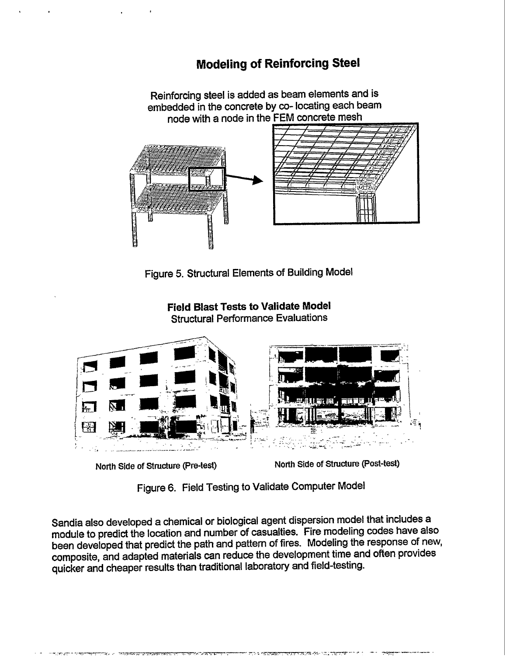## **Modeling of Reinforcing Steel**

Reinforcing steel is added as beam elements and is embedded in the concrete by co- locating each beam node with a node in the FEM concrete mesh





**Field Blast Tests to Validate Model Structural Performance Evaluations** 



North Side of Structure (Pre-test)

North Side of Structure (Post-test)

Figure 6. Field Testing to Validate Computer Model

Sandia also developed a chemical or biological agent dispersion model that includes a module to predict the location and number of casualties. Fire modeling codes have also been developed that predict the path and pattern of fires. Modeling the response of new, composite, and adapted materials can reduce the development time and often provides quicker and cheaper results than traditional laboratory and field-testing.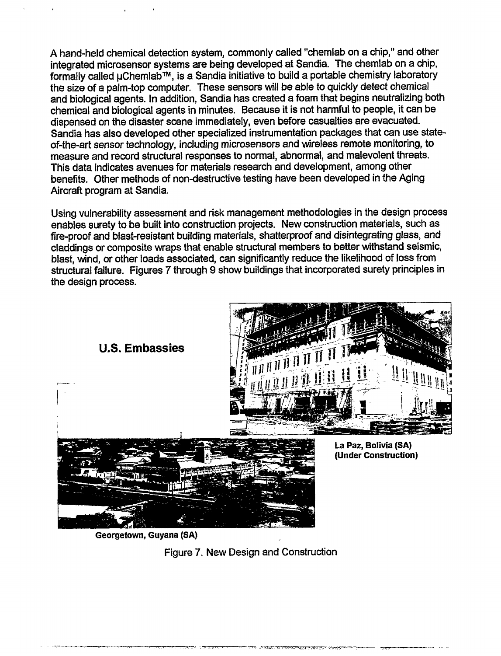A hand-held chemical detection system, commonly called "chemlab on a chip," and other integrated microsensor systems are being developed at Sandia. The chemlab on a chip, formally called  $\mu$ Chemlab<sup>TM</sup>, is a Sandia initiative to build a portable chemistry laboratory the size of a palm-top computer. These sensors will be able to quickly detect chemical and biological agents. In addition, Sandia has created a foam that begins neutralizing both chemical and biological agents in minutes. Because it is not harmful to people, it can be dispensed on the disaster scene immediately, even before casualties are evacuated. Sandia has also developed other specialized instrumentation packages that can use stateof-the-art sensor technology, including microsensors and wireless remote monitoring, to measure and record structural responses to normal, abnormal, and malevolent threats. This data indicates avenues for materials research and development, among other benefits. Other methods of non-destructive testing have been developed in the Aging Aircraft program at Sandia.

Using vulnerability assessment and risk management methodologies in the design process enables surety to be built into construction projects. New construction materials, such as fire-proof and blast-resistant building materials, shatterproof and disintegrating glass, and claddings or composite wraps that enable structural members to better withstand seismic, blast, wind, or other loads associated, can significantly reduce the likelihood of loss from structural failure. Figures 7 through **9** show buildings that incorporated surety principles in the design process.



**Georgetown, Guyana (SA)**

Figure 7. New Design and Construction

- —.— . . ., . . ...-z-.. .. .. . . . ——.- -.-,-r. ,,. .-.:SR- <sup>m</sup> . . .. . . .&.. .> !, - ., -,./..... ——. — .,, —-e. . . .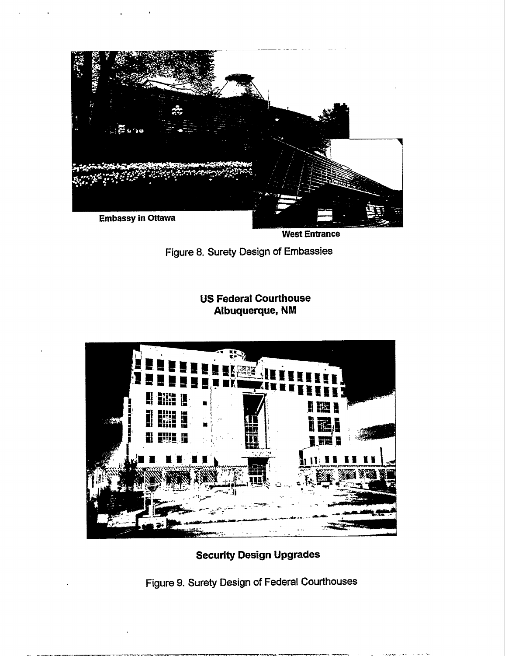

**West Entrance** 

Figure 8. Surety Design of Embassies

**US Federal Courthouse** Albuquerque, NM



**Security Design Upgrades** 

Figure 9. Surety Design of Federal Courthouses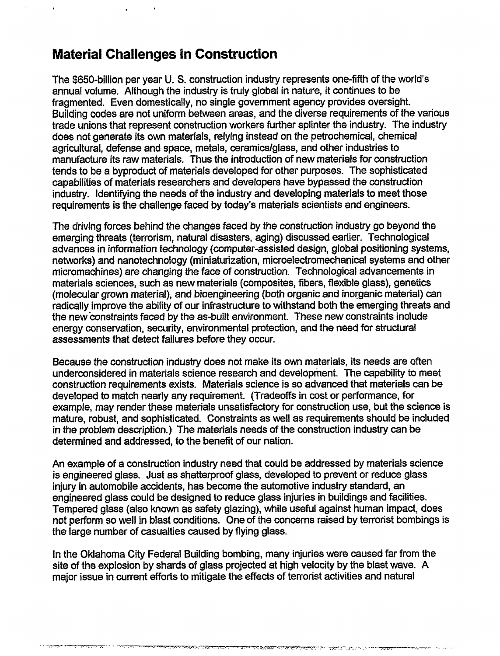### **Material Challenges in Construction**

The \$650-billion per year U.S. construction industry represents one-fifth of the world's annual volume. Although the industry is truly global in nature, it continues to be fragmented. Even domestically, no single government agency provides oversight. Building codes are not uniform between areas, and the diverse requirements of the various trade unions that represent construction workers further splinter the industry. The industry does not generate its own materials, relying instead on the petrochemical, chemical agricultural, defense and space, metals, Ceramicslgiass, and other industries to manufacture its raw materials. Thus the introduction of new materials for construction tends to be a byproduct of materials developed for other purposes. The sophisticated capabilities of materials researchers and developers have bypassed the construction industry. Identifying the needs of the industry and developing materials to meet those requirements is the challenge faced by today's materials scientists and engineers.

The driving forces behind the changes faced by the construction industry go beyond the emerging threats (terrorism, natural disasters, aging) discussed earlier. Technological advances in information technology (computer-assisted design, global positioning systems, networks) and nanotechnology (miniaturization, microelectromechankal systems and dher micromachines) are changing the face of construction. Technological advancements in materials sciences, such as new materials (composites, fibers, flexible glass), genetics (molecular grown material), and bioengineering (both organic and inorganic material) can radically improve the ability of our infrastructure to withstand both the emerging threats and the new constraints faced by the as-built environment. These new constraints include energy conservation, security, environmental protection, and the need for structural assessments that detect failures before they occur.

Because the construction industry does not make its own materials, its needs are often underconsidered in materials science research and development. The capability to meet construction requirements exists. Materials science is so advanced that materials can be developed to match nearly any requirement. (Tradeoffs in cost or performance, for example, may render these materials unsatisfactory for construction use, but the science is mature, robust, and sophisticated. Constraints as well as requirements should be included in the problem description.) The materials needs of the construction industry can be determined and addressed, to the benefit of our nation.

An example of a construction industry need that could be addressed by materials science is engineered glass. Just as shatterproof glass, developed to prevent or reduce glass injury in automobile accidents, has become the automotive industry standard, an engineered glass could be designed to reduce glass injuries in buildings and facilities. Tempered glass (also known as safety glazing), while useful against human impact, does not perform so well in blast conditions. One of the concerns raised by terrorist bombings is the large number of casualties caused by flying glass.

In the Oklahoma City Federal Building bombing, many injuries were caused far from the site of the explosion by shards of glass projected at high velocity by the blast wave. A major issue in current efforts to mitigate the effects of terrorist activities and natural

<u> 1984 - بالمركان المركبة المتحدة المستقطعة المتحدد المتحدة المتحدة المتحدة</u>

י אין להספרה היה המורכה המורכזי המורכה המורכבים המורכבים ישראלים המורכבים המורכבים המורכבים המורכבים המורכבים